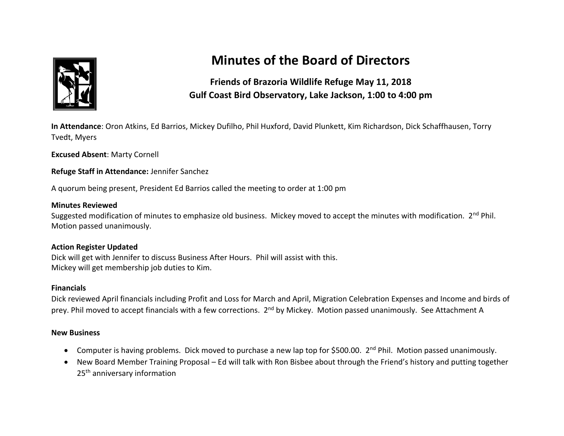

# **Minutes of the Board of Directors**

# **Friends of Brazoria Wildlife Refuge May 11, 2018 Gulf Coast Bird Observatory, Lake Jackson, 1:00 to 4:00 pm**

**In Attendance**: Oron Atkins, Ed Barrios, Mickey Dufilho, Phil Huxford, David Plunkett, Kim Richardson, Dick Schaffhausen, Torry Tvedt, Myers

**Excused Absent**: Marty Cornell

**Refuge Staff in Attendance:** Jennifer Sanchez

A quorum being present, President Ed Barrios called the meeting to order at 1:00 pm

#### **Minutes Reviewed**

Suggested modification of minutes to emphasize old business. Mickey moved to accept the minutes with modification. 2<sup>nd</sup> Phil. Motion passed unanimously.

#### **Action Register Updated**

Dick will get with Jennifer to discuss Business After Hours. Phil will assist with this. Mickey will get membership job duties to Kim.

#### **Financials**

Dick reviewed April financials including Profit and Loss for March and April, Migration Celebration Expenses and Income and birds of prey. Phil moved to accept financials with a few corrections. 2<sup>nd</sup> by Mickey. Motion passed unanimously. See Attachment A

#### **New Business**

- Computer is having problems. Dick moved to purchase a new lap top for \$500.00. 2<sup>nd</sup> Phil. Motion passed unanimously.
- New Board Member Training Proposal Ed will talk with Ron Bisbee about through the Friend's history and putting together 25<sup>th</sup> anniversary information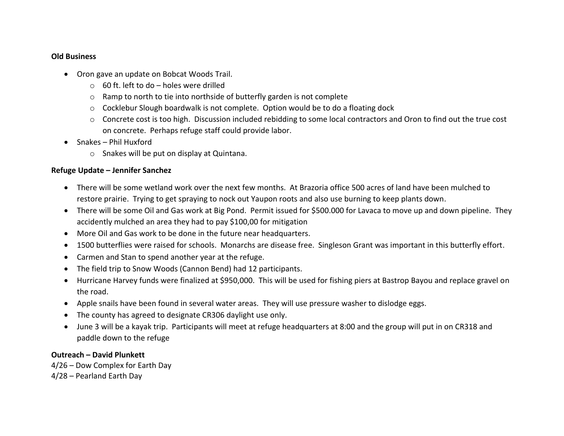#### **Old Business**

- Oron gave an update on Bobcat Woods Trail.
	- $\circ$  60 ft. left to do holes were drilled
	- o Ramp to north to tie into northside of butterfly garden is not complete
	- $\circ$  Cocklebur Slough boardwalk is not complete. Option would be to do a floating dock
	- $\circ$  Concrete cost is too high. Discussion included rebidding to some local contractors and Oron to find out the true cost on concrete. Perhaps refuge staff could provide labor.
- Snakes Phil Huxford
	- o Snakes will be put on display at Quintana.

## **Refuge Update – Jennifer Sanchez**

- There will be some wetland work over the next few months. At Brazoria office 500 acres of land have been mulched to restore prairie. Trying to get spraying to nock out Yaupon roots and also use burning to keep plants down.
- There will be some Oil and Gas work at Big Pond. Permit issued for \$500.000 for Lavaca to move up and down pipeline. They accidently mulched an area they had to pay \$100,00 for mitigation
- More Oil and Gas work to be done in the future near headquarters.
- 1500 butterflies were raised for schools. Monarchs are disease free. Singleson Grant was important in this butterfly effort.
- Carmen and Stan to spend another year at the refuge.
- The field trip to Snow Woods (Cannon Bend) had 12 participants.
- Hurricane Harvey funds were finalized at \$950,000. This will be used for fishing piers at Bastrop Bayou and replace gravel on the road.
- Apple snails have been found in several water areas. They will use pressure washer to dislodge eggs.
- The county has agreed to designate CR306 daylight use only.
- June 3 will be a kayak trip. Participants will meet at refuge headquarters at 8:00 and the group will put in on CR318 and paddle down to the refuge

## **Outreach – David Plunkett**

4/26 – Dow Complex for Earth Day 4/28 – Pearland Earth Day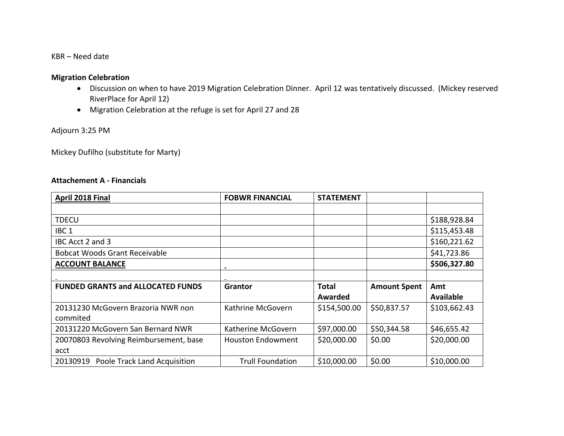KBR – Need date

#### **Migration Celebration**

- Discussion on when to have 2019 Migration Celebration Dinner. April 12 was tentatively discussed. (Mickey reserved RiverPlace for April 12)
- Migration Celebration at the refuge is set for April 27 and 28

Adjourn 3:25 PM

Mickey Dufilho (substitute for Marty)

#### **Attachement A - Financials**

| April 2018 Final                         | <b>FOBWR FINANCIAL</b>   | <b>STATEMENT</b> |                     |                  |
|------------------------------------------|--------------------------|------------------|---------------------|------------------|
|                                          |                          |                  |                     |                  |
| <b>TDECU</b>                             |                          |                  |                     | \$188,928.84     |
| IBC <sub>1</sub>                         |                          |                  |                     | \$115,453.48     |
| IBC Acct 2 and 3                         |                          |                  |                     | \$160,221.62     |
| <b>Bobcat Woods Grant Receivable</b>     |                          |                  |                     | \$41,723.86      |
| <b>ACCOUNT BALANCE</b>                   |                          |                  |                     | \$506,327.80     |
|                                          |                          |                  |                     |                  |
| <b>FUNDED GRANTS and ALLOCATED FUNDS</b> | Grantor                  | <b>Total</b>     | <b>Amount Spent</b> | Amt              |
|                                          |                          | Awarded          |                     | <b>Available</b> |
| 20131230 McGovern Brazoria NWR non       | Kathrine McGovern        | \$154,500.00     | \$50,837.57         | \$103,662.43     |
| commited                                 |                          |                  |                     |                  |
| 20131220 McGovern San Bernard NWR        | Katherine McGovern       | \$97,000.00      | \$50,344.58         | \$46,655.42      |
| 20070803 Revolving Reimbursement, base   | <b>Houston Endowment</b> | \$20,000.00      | \$0.00              | \$20,000.00      |
| acct                                     |                          |                  |                     |                  |
| 20130919<br>Poole Track Land Acquisition | <b>Trull Foundation</b>  | \$10,000.00      | \$0.00              | \$10,000.00      |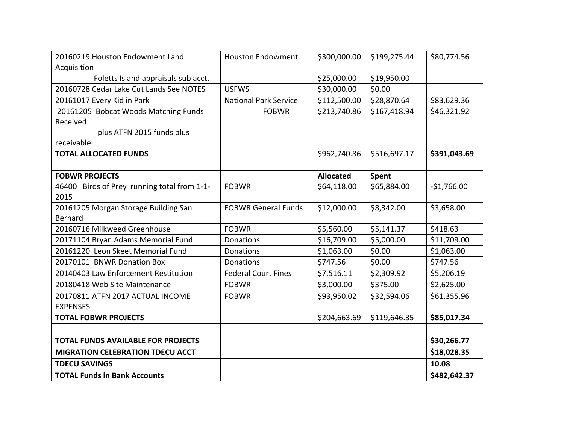| 20160219 Houston Endowment Land             | <b>Houston Endowment</b>     | \$300,000.00     | \$199,275.44 | \$80,774.56  |
|---------------------------------------------|------------------------------|------------------|--------------|--------------|
| Acquisition                                 |                              |                  |              |              |
| Foletts Island appraisals sub acct.         |                              | \$25,000.00      | \$19,950.00  |              |
| 20160728 Cedar Lake Cut Lands See NOTES     | <b>USFWS</b>                 | \$30,000.00      | \$0.00       |              |
| 20161017 Every Kid in Park                  | <b>National Park Service</b> | \$112,500.00     | \$28,870.64  | \$83,629.36  |
| 20161205 Bobcat Woods Matching Funds        | <b>FOBWR</b>                 | \$213,740.86     | \$167,418.94 | \$46,321.92  |
| Received                                    |                              |                  |              |              |
| plus ATFN 2015 funds plus                   |                              |                  |              |              |
| receivable                                  |                              |                  |              |              |
| <b>TOTAL ALLOCATED FUNDS</b>                |                              | \$962,740.86     | \$516,697.17 | \$391,043.69 |
|                                             |                              |                  |              |              |
| <b>FOBWR PROJECTS</b>                       |                              | <b>Allocated</b> | Spent        |              |
| 46400 Birds of Prey running total from 1-1- | <b>FOBWR</b>                 | \$64,118.00      | \$65,884.00  | $-$1,766.00$ |
| 2015                                        |                              |                  |              |              |
| 20161205 Morgan Storage Building San        | <b>FOBWR General Funds</b>   | \$12,000.00      | \$8,342.00   | \$3,658.00   |
| <b>Bernard</b>                              |                              |                  |              |              |
| 20160716 Milkweed Greenhouse                | <b>FOBWR</b>                 | \$5,560.00       | \$5,141.37   | \$418.63     |
| 20171104 Bryan Adams Memorial Fund          | Donations                    | \$16,709.00      | \$5,000.00   | \$11,709.00  |
| 20161220 Leon Skeet Memorial Fund           | Donations                    | \$1,063.00       | \$0.00       | \$1,063.00   |
| 20170101 BNWR Donation Box                  | Donations                    | \$747.56         | \$0.00       | \$747.56     |
| 20140403 Law Enforcement Restitution        | <b>Federal Court Fines</b>   | \$7,516.11       | \$2,309.92   | \$5,206.19   |
| 20180418 Web Site Maintenance               | <b>FOBWR</b>                 | \$3,000.00       | \$375.00     | \$2,625.00   |
| 20170811 ATFN 2017 ACTUAL INCOME            | <b>FOBWR</b>                 | \$93,950.02      | \$32,594.06  | \$61,355.96  |
| <b>EXPENSES</b>                             |                              |                  |              |              |
| <b>TOTAL FOBWR PROJECTS</b>                 |                              | \$204,663.69     | \$119,646.35 | \$85,017.34  |
|                                             |                              |                  |              |              |
| <b>TOTAL FUNDS AVAILABLE FOR PROJECTS</b>   |                              |                  |              | \$30,266.77  |
| MIGRATION CELEBRATION TDECU ACCT            |                              |                  |              | \$18,028.35  |
| <b>TDECU SAVINGS</b>                        |                              |                  |              | 10.08        |
| <b>TOTAL Funds in Bank Accounts</b>         |                              |                  |              | \$482,642.37 |